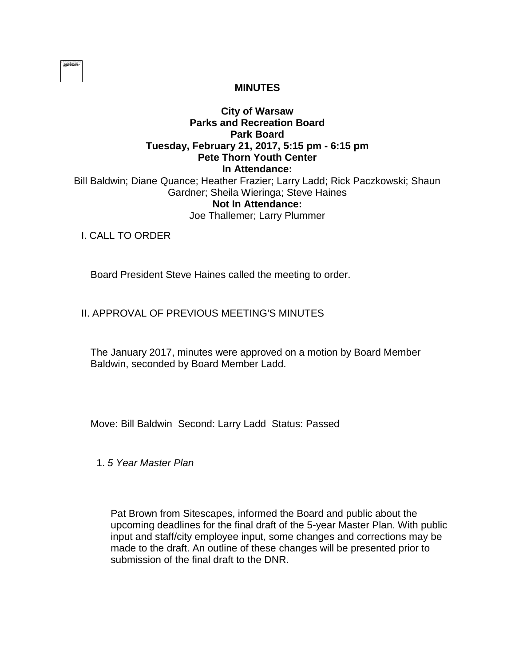## **MINUTES**

## **City of Warsaw Parks and Recreation Board Park Board Tuesday, February 21, 2017, 5:15 pm - 6:15 pm Pete Thorn Youth Center In Attendance:**  Bill Baldwin; Diane Quance; Heather Frazier; Larry Ladd; Rick Paczkowski; Shaun Gardner; Sheila Wieringa; Steve Haines **Not In Attendance:**  Joe Thallemer; Larry Plummer

I. CALL TO ORDER

Board President Steve Haines called the meeting to order.

II. APPROVAL OF PREVIOUS MEETING'S MINUTES

The January 2017, minutes were approved on a motion by Board Member Baldwin, seconded by Board Member Ladd.

Move: Bill Baldwin Second: Larry Ladd Status: Passed

1. *5 Year Master Plan* 

Pat Brown from Sitescapes, informed the Board and public about the upcoming deadlines for the final draft of the 5-year Master Plan. With public input and staff/city employee input, some changes and corrections may be made to the draft. An outline of these changes will be presented prior to submission of the final draft to the DNR.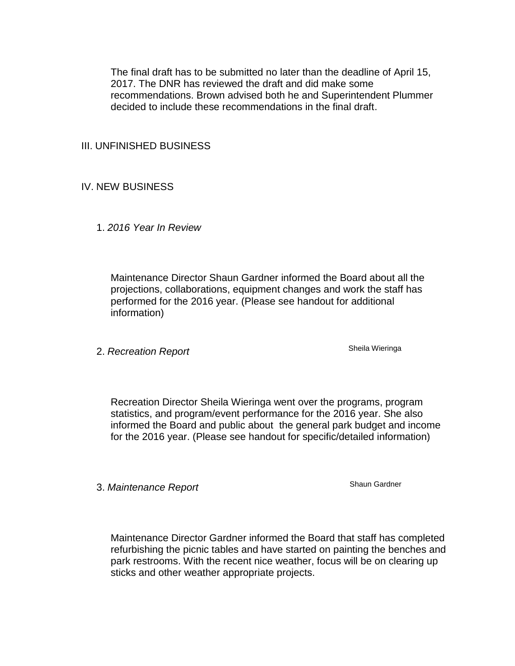The final draft has to be submitted no later than the deadline of April 15, 2017. The DNR has reviewed the draft and did make some recommendations. Brown advised both he and Superintendent Plummer decided to include these recommendations in the final draft.

## III. UNFINISHED BUSINESS

## IV. NEW BUSINESS

1. *2016 Year In Review*

Maintenance Director Shaun Gardner informed the Board about all the projections, collaborations, equipment changes and work the staff has performed for the 2016 year. (Please see handout for additional information)

2. *Recreation Report* Sheila Wieringa

Recreation Director Sheila Wieringa went over the programs, program statistics, and program/event performance for the 2016 year. She also informed the Board and public about the general park budget and income for the 2016 year. (Please see handout for specific/detailed information)

3. Maintenance Report Shaun Gardner

Maintenance Director Gardner informed the Board that staff has completed refurbishing the picnic tables and have started on painting the benches and park restrooms. With the recent nice weather, focus will be on clearing up sticks and other weather appropriate projects.